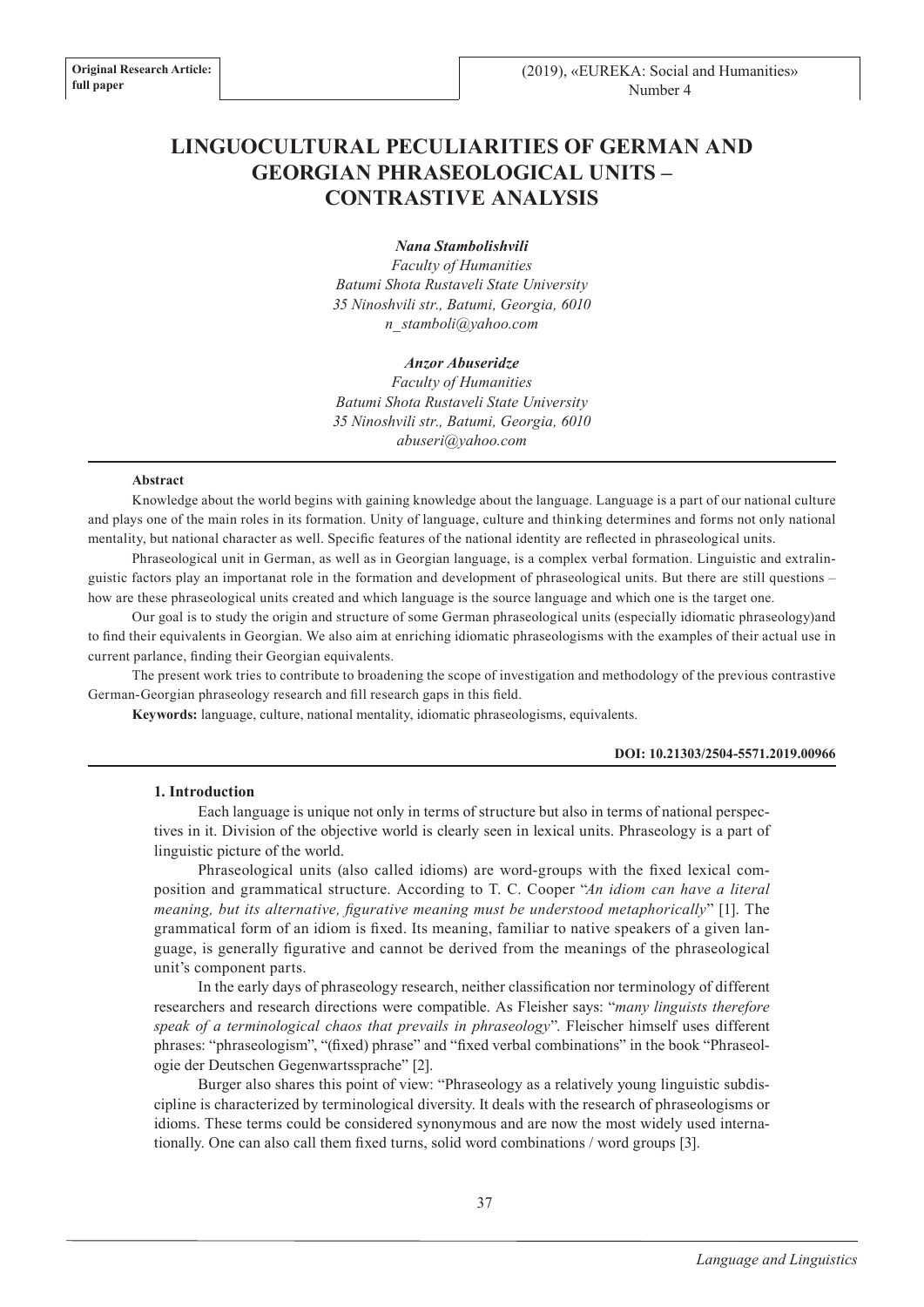# **LINGUOCULTURAL PECULIARITIES OF GERMAN AND GEORGIAN PHRASEOLOGICAL UNITS – CONTRASTIVE ANALYSIS**

*Nana Stambolishvili*

*Faculty of Humanities Batumi Shota Rustaveli State University 35 Ninoshvili str., Batumi, Georgia, 6010 n\_stamboli@yahoo.com*

#### *Anzor Abuseridze*

*Faculty of Humanities Batumi Shota Rustaveli State University 35 Ninoshvili str., Batumi, Georgia, 6010 abuseri@yahoo.com*

#### **Abstract**

Knowledge about the world begins with gaining knowledge about the language. Language is a part of our national culture and plays one of the main roles in its formation. Unity of language, culture and thinking determines and forms not only national mentality, but national character as well. Specific features of the national identity are reflected in phraseological units.

Phraseological unit in German, as well as in Georgian language, is a complex verbal formation. Linguistic and extralinguistic factors play an importanat role in the formation and development of phraseological units. But there are still questions – how are these phraseological units created and which language is the source language and which one is the target one.

Our goal is to study the origin and structure of some German phraseological units (especially idiomatic phraseology)and to find their equivalents in Georgian. We also aim at enriching idiomatic phraseologisms with the examples of their actual use in current parlance, finding their Georgian equivalents.

The present work tries to contribute to broadening the scope of investigation and methodology of the previous contrastive German-Georgian phraseology research and fill research gaps in this field.

**Keywords:** language, culture, national mentality, idiomatic phraseologisms, equivalents.

#### **DOI: 10.21303/2504-5571.2019.00966**

# **1. Introduction**

Each language is unique not only in terms of structure but also in terms of national perspectives in it. Division of the objective world is clearly seen in lexical units. Phraseology is a part of linguistic picture of the world.

Phraseological units (also called idioms) are word-groups with the fixed lexical composition and grammatical structure. According to T. C. Cooper "*An idiom can have a literal meaning, but its alternative, figurative meaning must be understood metaphorically*" [1]. The grammatical form of an idiom is fixed. Its meaning, familiar to native speakers of a given language, is generally figurative and cannot be derived from the meanings of the phraseological unit's component parts.

In the early days of phraseology research, neither classification nor terminology of different researchers and research directions were compatible. As Fleisher says: "*many linguists therefore speak of a terminological chaos that prevails in phraseology*". Fleischer himself uses different phrases: "phraseologism", "(fixed) phrase" and "fixed verbal combinations" in the book "Phraseologie der Deutschen Gegenwartssprache" [2].

Burger also shares this point of view: "Phraseology as a relatively young linguistic subdiscipline is characterized by terminological diversity. It deals with the research of phraseologisms or idioms. These terms could be considered synonymous and are now the most widely used internationally. One can also call them fixed turns, solid word combinations / word groups [3].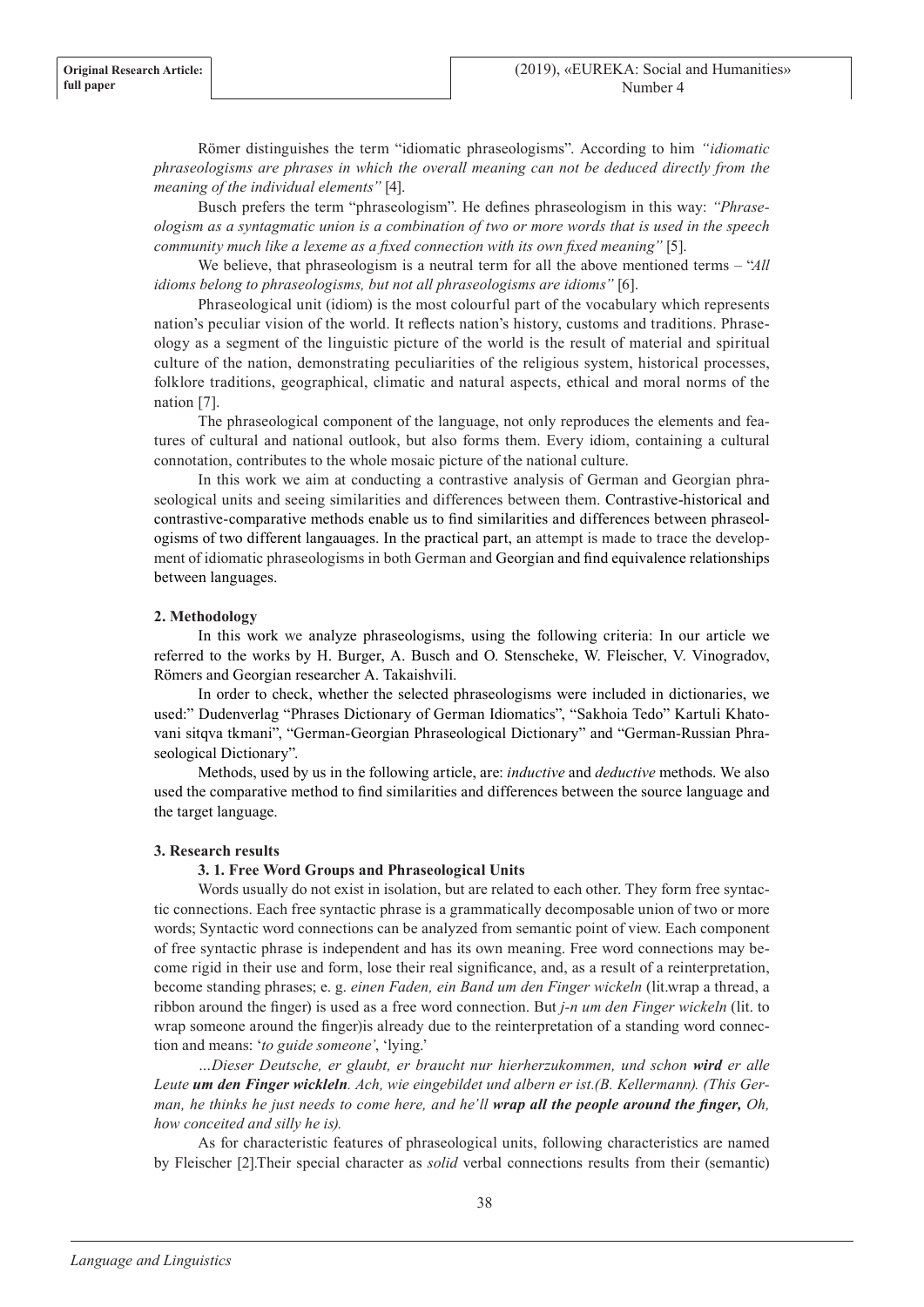Römer distinguishes the term "idiomatic phraseologisms". According to him *"idiomatic phraseologisms are phrases in which the overall meaning can not be deduced directly from the meaning of the individual elements"* [4].

Busch prefers the term "phraseologism". He defines phraseologism in this way: *"Phraseologism as a syntagmatic union is a combination of two or more words that is used in the speech community much like a lexeme as a fixed connection with its own fixed meaning"* [5].

We believe, that phraseologism is a neutral term for all the above mentioned terms – "*All idioms belong to phraseologisms, but not all phraseologisms are idioms*" [6].

Phraseological unit (idiom) is the most colourful part of the vocabulary which represents nation's peculiar vision of the world. It reflects nation's history, customs and traditions. Phraseology as a segment of the linguistic picture of the world is the result of material and spiritual culture of the nation, demonstrating peculiarities of the religious system, historical processes, folklore traditions, geographical, climatic and natural aspects, ethical and moral norms of the nation [7].

The phraseological component of the language, not only reproduces the elements and features of cultural and national outlook, but also forms them. Every idiom, containing a cultural connotation, contributes to the whole mosaic picture of the national culture.

In this work we aim at conducting a contrastive analysis of German and Georgian phraseological units and seeing similarities and differences between them. Contrastive-historical and contrastive-comparative methods enable us to find similarities and differences between phraseologisms of two different langauages. In the practical part, an attempt is made to trace the development of idiomatic phraseologisms in both German and Georgian and find equivalence relationships between languages.

# **2. Methodology**

In this work we analyze phraseologisms, using the following criteria: In our article we referred to the works by H. Burger, A. Busch and O. Stenscheke, W. Fleischer, V. Vinogradov, Römers and Georgian researcher A. Takaishvili.

In order to check, whether the selected phraseologisms were included in dictionaries, we used:" Dudenverlag "Phrases Dictionary of German Idiomatics", "Sakhoia Tedo" Kartuli Khatovani sitqva tkmani", "German-Georgian Phraseological Dictionary" and "German-Russian Phraseological Dictionary".

Methods, used by us in the following article, are: *inductive* and *deductive* methods. We also used the comparative method to find similarities and differences between the source language and the target language.

# **3. Research results**

# **3. 1. Free Word Groups and Phraseological Units**

Words usually do not exist in isolation, but are related to each other. They form free syntactic connections. Each free syntactic phrase is a grammatically decomposable union of two or more words; Syntactic word connections can be analyzed from semantic point of view. Each component of free syntactic phrase is independent and has its own meaning. Free word connections may become rigid in their use and form, lose their real significance, and, as a result of a reinterpretation, become standing phrases; e. g. *einen Faden, ein Band um den Finger wickeln* (lit.wrap a thread, a ribbon around the finger) is used as a free word connection. But *j-n um den Finger wickeln* (lit. to wrap someone around the finger)is already due to the reinterpretation of a standing word connection and means: '*to guide someone'*, 'lying.'

*…Dieser Deutsche, er glaubt, er braucht nur hierherzukommen, und schon wird er alle Leute um den Finger wickleln. Ach, wie eingebildet und albern er ist.(B. Kellermann). (This German, he thinks he just needs to come here, and he'll wrap all the people around the finger, Oh, how conceited and silly he is).*

As for characteristic features of phraseological units, following characteristics are named by Fleischer [2].Their special character as *solid* verbal connections results from their (semantic)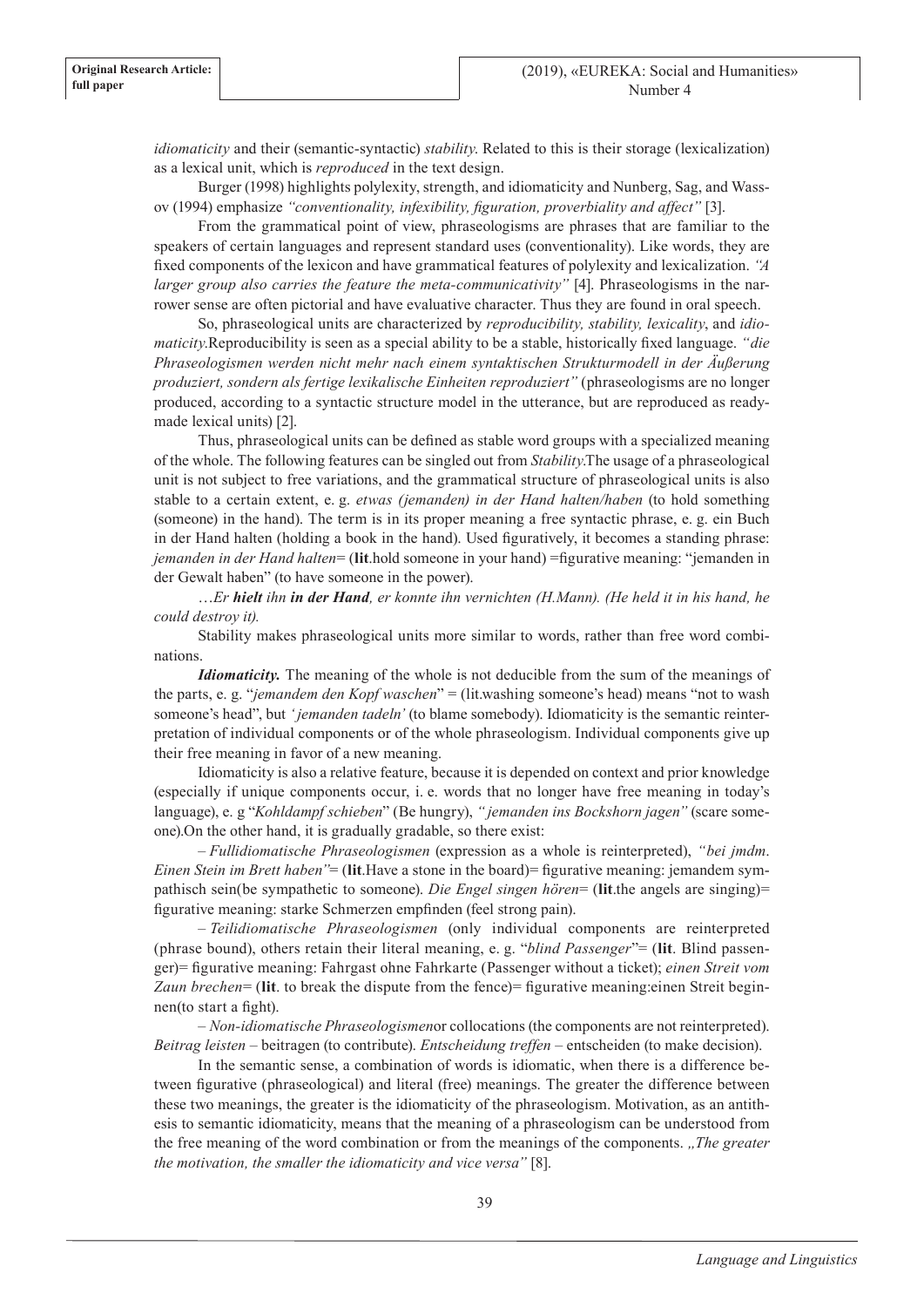*idiomaticity* and their (semantic-syntactic) *stability*. Related to this is their storage (lexicalization) as a lexical unit, which is *reproduced* in the text design.

Burger (1998) highlights polylexity, strength, and idiomaticity and Nunberg, Sag, and Wassov (1994) emphasize *"conventionality, infexibility, figuration, proverbiality and affect"* [3].

From the grammatical point of view, phraseologisms are phrases that are familiar to the speakers of certain languages and represent standard uses (conventionality). Like words, they are fixed components of the lexicon and have grammatical features of polylexity and lexicalization. *"A larger group also carries the feature the meta-communicativity*" [4]. Phraseologisms in the narrower sense are often pictorial and have evaluative character. Thus they are found in oral speech.

So, phraseological units are characterized by *reproducibility, stability, lexicality*, and *idiomaticity*.Reproducibility is seen as a special ability to be a stable, historically fixed language. *"die Phraseologismen werden nicht mehr nach einem syntaktischen Strukturmodell in der Äußerung produziert, sondern als fertige lexikalische Einheiten reproduziert"* (phraseologisms are no longer produced, according to a syntactic structure model in the utterance, but are reproduced as readymade lexical units) [2].

Thus, phraseological units can be defined as stable word groups with a specialized meaning of the whole. The following features can be singled out from *Stability*.The usage of a phraseological unit is not subject to free variations, and the grammatical structure of phraseological units is also stable to a certain extent, e. g. *etwas (jemanden) in der Hand halten/haben* (to hold something (someone) in the hand). The term is in its proper meaning a free syntactic phrase, e. g. ein Buch in der Hand halten (holding a book in the hand). Used figuratively, it becomes a standing phrase: *jemanden in der Hand halten*= (**lit**.hold someone in your hand) =figurative meaning: "jemanden in der Gewalt haben" (to have someone in the power).

…*Er hielt ihn in der Hand, er konnte ihn vernichten (H.Mann). (He held it in his hand, he could destroy it).*

Stability makes phraseological units more similar to words, rather than free word combinations.

*Idiomaticity*. The meaning of the whole is not deducible from the sum of the meanings of the parts, e. g. "*jemandem den Kopf waschen*" = (lit.washing someone's head) means "not to wash someone's head", but *' jemanden tadeln'* (to blame somebody). Idiomaticity is the semantic reinterpretation of individual components or of the whole phraseologism. Individual components give up their free meaning in favor of a new meaning.

Idiomaticity is also a relative feature, because it is depended on context and prior knowledge (especially if unique components occur, i. e. words that no longer have free meaning in today's language), e. g "*Kohldampf schieben*" (Be hungry), *" jemanden ins Bockshorn jagen"* (scare someone).On the other hand, it is gradually gradable, so there exist:

– *Fullidiomatische Phraseologismen* (expression as a whole is reinterpreted), *"bei jmdm*. *Einen Stein im Brett haben*"= (**lit**.Have a stone in the board)= figurative meaning: jemandem sympathisch sein(be sympathetic to someone). *Die Engel singen hören*= (**lit**.the angels are singing)= figurative meaning: starke Schmerzen empfinden (feel strong pain).

– *Teilidiomatische Phraseologismen* (only individual components are reinterpreted (phrase bound), others retain their literal meaning, e. g. "*blind Passenger*"= (**lit**. Blind passenger)= figurative meaning: Fahrgast ohne Fahrkarte (Passenger without a ticket); *einen Streit vom Zaun brechen*= (**lit**. to break the dispute from the fence)= figurative meaning:einen Streit beginnen(to start a fight).

– *Non-idiomatische Phraseologismen*or collocations (the components are not reinterpreted). *Beitrag leisten* – beitragen (to contribute). *Entscheidung treffen* – entscheiden (to make decision).

In the semantic sense, a combination of words is idiomatic, when there is a difference between figurative (phraseological) and literal (free) meanings. The greater the difference between these two meanings, the greater is the idiomaticity of the phraseologism. Motivation, as an antithesis to semantic idiomaticity, means that the meaning of a phraseologism can be understood from the free meaning of the word combination or from the meanings of the components. *"The greater the motivation, the smaller the idiomaticity and vice versa"* [8].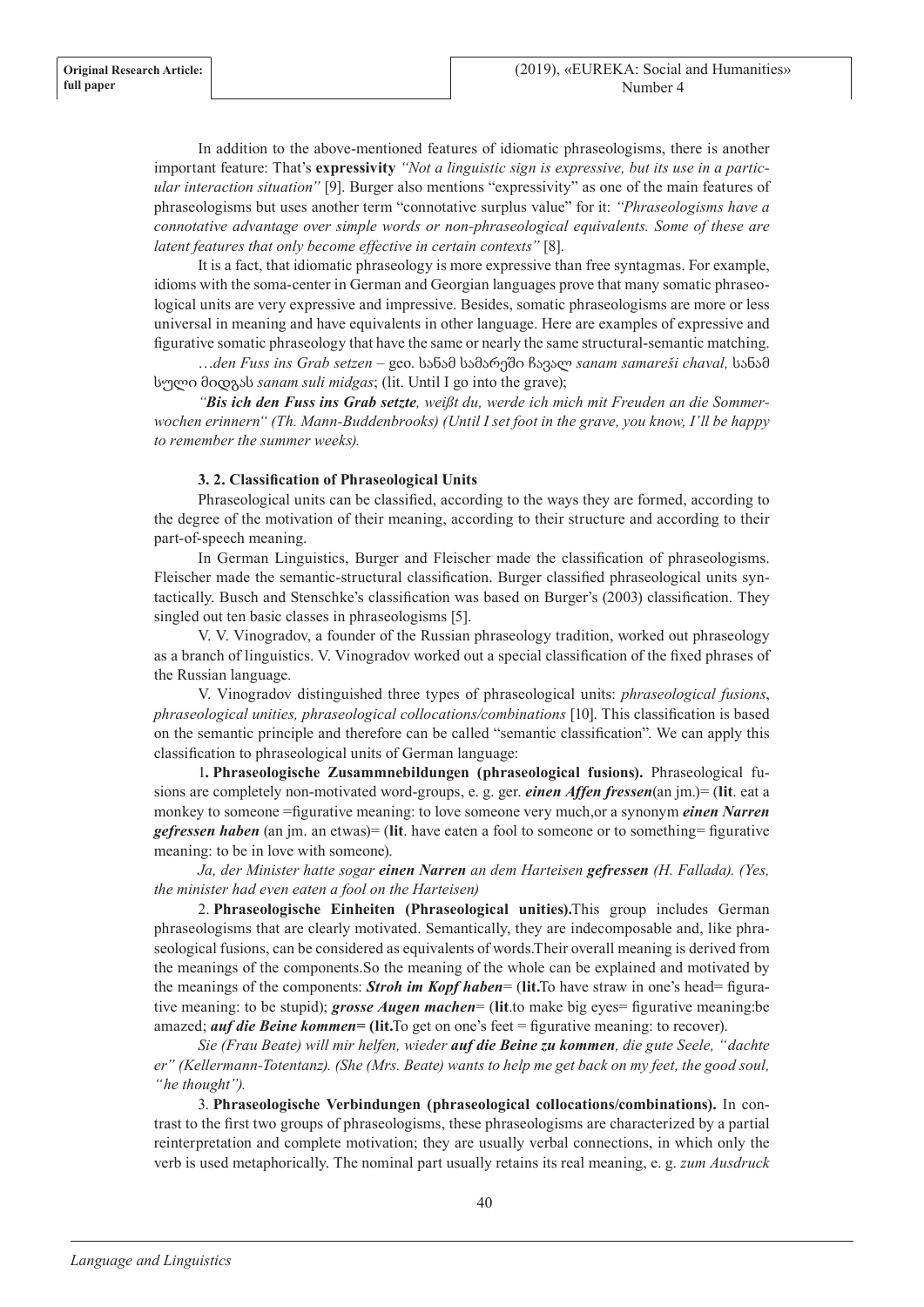In addition to the above-mentioned features of idiomatic phraseologisms, there is another important feature: That's **expressivity** *"Not a linguistic sign is expressive, but its use in a particular interaction situation"* [9]. Burger also mentions "expressivity" as one of the main features of phraseologisms but uses another term "connotative surplus value" for it: *"Phraseologisms have a connotative advantage over simple words or non-phraseological equivalents. Some of these are latent features that only become effective in certain contexts"* [8].

It is a fact, that idiomatic phraseology is more expressive than free syntagmas. For example, idioms with the soma-center in German and Georgian languages prove that many somatic phraseological units are very expressive and impressive. Besides, somatic phraseologisms are more or less universal in meaning and have equivalents in other language. Here are examples of expressive and figurative somatic phraseology that have the same or nearly the same structural-semantic matching.

…*den Fuss ins Grab setzen* – geo. სანამ სამარეში ჩავალ *sanam samareši chaval,* სანამ სული მიდგას *sanam suli midgas*; (lit. Until I go into the grave);

*"Bis ich den Fuss ins Grab setzte, weißt du, werde ich mich mit Freuden an die Sommerwochen erinnern" (Th. Mann-Buddenbrooks) (Until I set foot in the grave, you know, I'll be happy to remember the summer weeks).*

# **3. 2. Classification of Phraseological Units**

Phraseological units can be classified, according to the ways they are formed, according to the degree of the motivation of their meaning, according to their structure and according to their part-of-speech meaning.

In German Linguistics, Burger and Fleischer made the classification of phraseologisms. Fleischer made the semantic-structural classification. Burger classified phraseological units syntactically. Busch and Stenschke's classification was based on Burger's (2003) classification. They singled out ten basic classes in phraseologisms [5].

V. V. Vinogradov, a founder of the Russian phraseology tradition, worked out phraseology as a branch of linguistics. V. Vinogradov worked out a special classification of the fixed phrases of the Russian language.

V. Vinogradov distinguished three types of phraseological units: *phraseological fusions*, *phraseological unities, phraseological collocations/combinations* [10]. This classification is based on the semantic principle and therefore can be called "semantic classification". We can apply this classification to phraseological units of German language:

1**. Phraseologische Zusammnebildungen (phraseological fusions).** Phraseological fusions are completely non-motivated word-groups, e. g. ger. *einen Affen fressen*(an jm.)= (**lit**. eat a monkey to someone =figurative meaning: to love someone very much,or a synonym *einen Narren gefressen haben* (an jm. an etwas)= (**lit**. have eaten a fool to someone or to something= figurative meaning: to be in love with someone).

*Ja, der Minister hatte sogar einen Narren an dem Harteisen gefressen (H. Fallada). (Yes, the minister had even eaten a fool on the Harteisen)*

2. **Phraseologische Einheiten (Phraseological unities).**This group includes German phraseologisms that are clearly motivated. Semantically, they are indecomposable and, like phraseological fusions, can be considered as equivalents of words.Their overall meaning is derived from the meanings of the components.So the meaning of the whole can be explained and motivated by the meanings of the components: *Stroh im Kopf haben*= (**lit.**To have straw in one's head= figurative meaning: to be stupid); *grosse Augen machen*= (**lit**.to make big eyes= figurative meaning:be amazed; *auf die Beine kommen***= (lit.**To get on one's feet = figurative meaning: to recover).

*Sie (Frau Beate) will mir helfen, wieder auf die Beine zu kommen, die gute Seele, "dachte er" (Kellermann-Totentanz). (She (Mrs. Beate) wants to help me get back on my feet, the good soul, "he thought").*

3. **Phraseologische Verbindungen (phraseological collocations/combinations).** In contrast to the first two groups of phraseologisms, these phraseologisms are characterized by a partial reinterpretation and complete motivation; they are usually verbal connections, in which only the verb is used metaphorically. The nominal part usually retains its real meaning, e. g. *zum Ausdruck*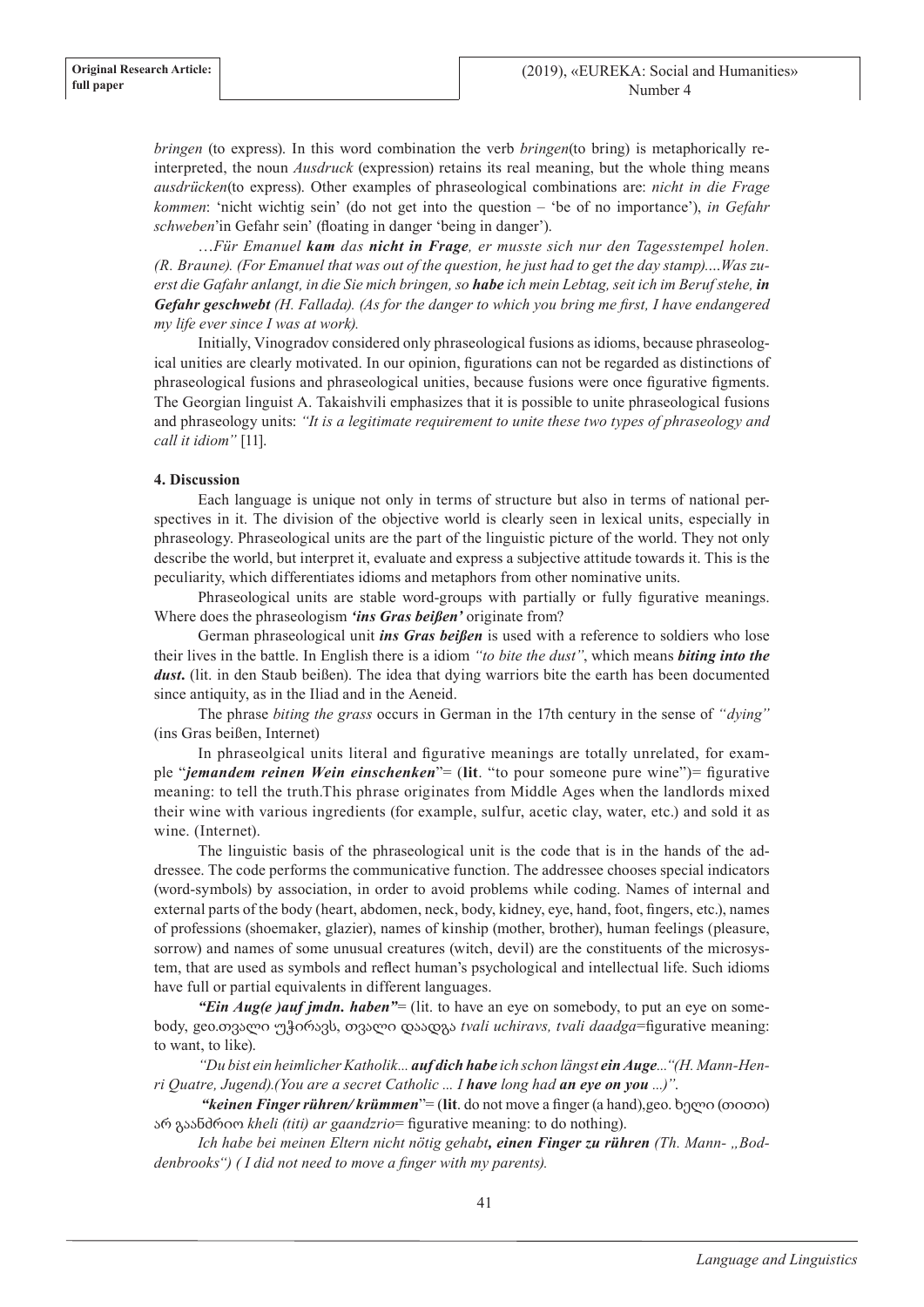*bringen* (to express). In this word combination the verb *bringen*(to bring) is metaphorically reinterpreted, the noun *Ausdruck* (expression) retains its real meaning, but the whole thing means *ausdrücken*(to express). Other examples of phraseological combinations are: *nicht in die Frage kommen*: 'nicht wichtig sein' (do not get into the question – 'be of no importance'), *in Gefahr schweben*'in Gefahr sein' (floating in danger 'being in danger').

…*Für Emanuel kam das nicht in Frage, er musste sich nur den Tagesstempel holen. (R. Braune). (For Emanuel that was out of the question, he just had to get the day stamp).…Was zuerst die Gafahr anlangt, in die Sie mich bringen, so habe ich mein Lebtag, seit ich im Beruf stehe, in Gefahr geschwebt (H. Fallada). (As for the danger to which you bring me first, I have endangered my life ever since I was at work).*

Initially, Vinogradov considered only phraseological fusions as idioms, because phraseological unities are clearly motivated. In our opinion, figurations can not be regarded as distinctions of phraseological fusions and phraseological unities, because fusions were once figurative figments. The Georgian linguist A. Takaishvili emphasizes that it is possible to unite phraseological fusions and phraseology units: *"It is a legitimate requirement to unite these two types of phraseology and call it idiom"* [11].

# **4. Discussion**

Each language is unique not only in terms of structure but also in terms of national perspectives in it. The division of the objective world is clearly seen in lexical units, especially in phraseology. Phraseological units are the part of the linguistic picture of the world. They not only describe the world, but interpret it, evaluate and express a subjective attitude towards it. This is the peculiarity, which differentiates idioms and metaphors from other nominative units.

Phraseological units are stable word-groups with partially or fully figurative meanings. Where does the phraseologism *'ins Gras beißen'* originate from?

German phraseological unit *ins Gras beißen* is used with a reference to soldiers who lose their lives in the battle. In English there is a idiom *"to bite the dust"*, which means *biting into the dust***.** (lit. in den Staub beißen). The idea that dying warriors bite the earth has been documented since antiquity, as in the Iliad and in the Aeneid.

The phrase *biting the grass* occurs in German in the 17th century in the sense of *"dying"*  (ins Gras beißen, Internet)

In phraseolgical units literal and figurative meanings are totally unrelated, for example "*jemandem reinen Wein einschenken*"= (**lit**. "to pour someone pure wine")= figurative meaning: to tell the truth.This phrase originates from Middle Ages when the landlords mixed their wine with various ingredients (for example, sulfur, acetic clay, water, etc.) and sold it as wine. (Internet).

The linguistic basis of the phraseological unit is the code that is in the hands of the addressee. The code performs the communicative function. The addressee chooses special indicators (word-symbols) by association, in order to avoid problems while coding. Names of internal and external parts of the body (heart, abdomen, neck, body, kidney, eye, hand, foot, fingers, etc.), names of professions (shoemaker, glazier), names of kinship (mother, brother), human feelings (pleasure, sorrow) and names of some unusual creatures (witch, devil) are the constituents of the microsystem, that are used as symbols and reflect human's psychological and intellectual life. Such idioms have full or partial equivalents in different languages.

*"Ein Aug(e) auf jmdn. haben"* = (lit. to have an eye on somebody, to put an eye on somebody, geo.თვალი უჭირავს, თვალი დაადგა *tvali uchiravs, tvali daadga*=figurative meaning: to want, to like).

*"Du bist ein heimlicher Katholik... auf dich habe ich schon längst ein Auge..."(H. Mann-Henri Quatre, Jugend).(You are a secret Catholic ... I have long had an eye on you ...)"*.

 *"keinen Finger rühren/ krümmen*"= (**lit**. do not move a finger (a hand),geo. ხელი (თითი) არ გაანძრიო *kheli (titi) ar gaandzrio*= figurative meaning: to do nothing).

Ich habe bei meinen Eltern nicht nötig gehabt, einen Finger zu rühren (Th. Mann- "Bod*denbrooks") ( I did not need to move a finger with my parents).*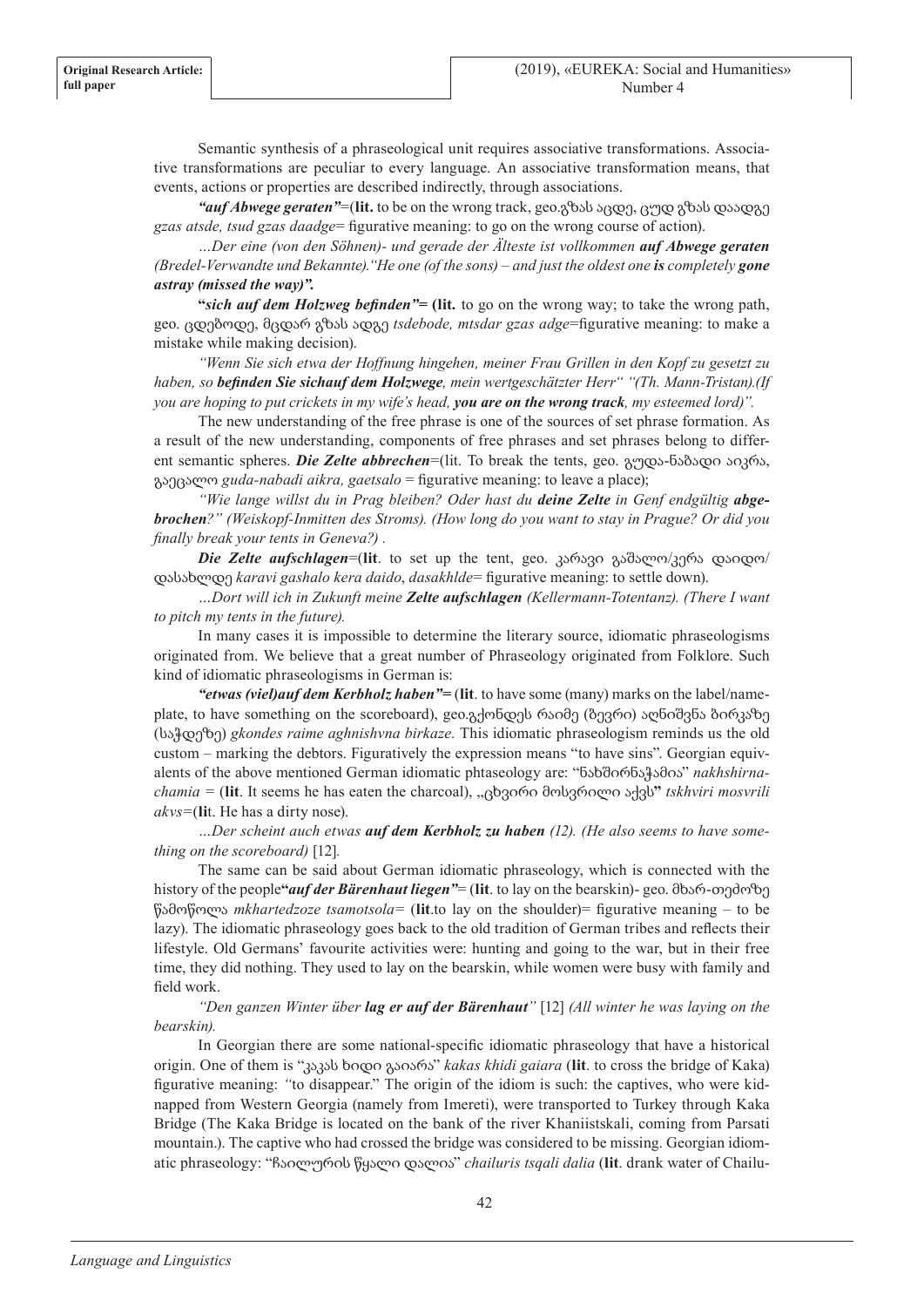Semantic synthesis of a phraseological unit requires associative transformations. Associative transformations are peculiar to every language. An associative transformation means, that events, actions or properties are described indirectly, through associations.

*"auf Abwege geraten"*=(**lit.** to be on the wrong track, geo.გზას აცდე, ცუდ გზას დაადგე *gzas atsde, tsud gzas daadge*= figurative meaning: to go on the wrong course of action).

*…Der eine (von den Söhnen)- und gerade der Älteste ist vollkommen auf Abwege geraten (Bredel-Verwandte und Bekannte). "He one (of the sons) – and just the oldest one is completely gone astray (missed the way)".*

**"***sich auf dem Holzweg befinden"=* **(lit***.* to go on the wrong way; to take the wrong path, geo. ცდებოდე, მცდარ გზას ადგე *tsdebode, mtsdar gzas adge*=figurative meaning: to make a mistake while making decision).

*"Wenn Sie sich etwa der Hoffnung hingehen, meiner Frau Grillen in den Kopf zu gesetzt zu haben, so befinden Sie sichauf dem Holzwege, mein wertgeschätzter Herr" "(Th. Mann-Tristan).(If you are hoping to put crickets in my wife's head, you are on the wrong track, my esteemed lord)".*

The new understanding of the free phrase is one of the sources of set phrase formation. As a result of the new understanding, components of free phrases and set phrases belong to different semantic spheres. *Die Zelte abbrechen*=(lit. To break the tents, geo. გუდა-ნაბადი აიკრა, გაეცალო *guda-nabadi aikra, gaetsalo* = figurative meaning: to leave a place);

*"Wie lange willst du in Prag bleiben? Oder hast du deine Zelte in Genf endgültig abgebrochen?" (Weiskopf-Inmitten des Stroms). (How long do you want to stay in Prague? Or did you finally break your tents in Geneva?) .*

*Die Zelte aufschlagen*=(**lit**. to set up the tent, geo. კარავი გაშალო/კერა დაიდო/ დასახლდე *karavi gashalo kera daido*, *dasakhlde*= figurative meaning: to settle down).

*…Dort will ich in Zukunft meine Zelte aufschlagen (Kellermann-Totentanz). (There I want to pitch my tents in the future).*

In many cases it is impossible to determine the literary source, idiomatic phraseologisms originated from. We believe that a great number of Phraseology originated from Folklore. Such kind of idiomatic phraseologisms in German is:

*"etwas (viel)auf dem Kerbholz haben"=* (**lit**. to have some (many) marks on the label/nameplate, to have something on the scoreboard), geo.გქონდეს რაიმე (ბევრი) აღნიშვნა ბირკაზე (საჭდეზე) *gkondes raime aghnishvna birkaze.* This idiomatic phraseologism reminds us the old custom – marking the debtors. Figuratively the expression means "to have sins". Georgian equivalents of the above mentioned German idiomatic phtaseology are: "ნახშირნაჭამია" *nakhshirnachamia =* (**lit**. It seems he has eaten the charcoal), "ცხვირი მოსვრილი აქვს**"** *tskhviri mosvrili akvs=*(**li**t. He has a dirty nose).

*…Der scheint auch etwas auf dem Kerbholz zu haben (12). (He also seems to have something on the scoreboard)* [12]*.*

The same can be said about German idiomatic phraseology, which is connected with the history of the people**"***auf der Bärenhaut liegen"*= (**lit**. to lay on the bearskin)- geo. მხარ-თეძოზე წამოწოლა *mkhartedzoze tsamotsola=* (**lit**.to lay on the shoulder)= figurative meaning – to be lazy). The idiomatic phraseology goes back to the old tradition of German tribes and reflects their lifestyle. Old Germans' favourite activities were: hunting and going to the war, but in their free time, they did nothing. They used to lay on the bearskin, while women were busy with family and field work.

*"Den ganzen Winter über lag er auf der Bärenhaut"* [12] *(All winter he was laying on the bearskin).*

In Georgian there are some national-specific idiomatic phraseology that have a historical origin. One of them is "კაკას ხიდი გაიარა" *kakas khidi gaiara* (**lit**. to cross the bridge of Kaka) figurative meaning: *"*to disappear." The origin of the idiom is such: the captives, who were kidnapped from Western Georgia (namely from Imereti), were transported to Turkey through Kaka Bridge (The Kaka Bridge is located on the bank of the river Khaniistskali, coming from Parsati mountain.). The captive who had crossed the bridge was considered to be missing. Georgian idiomatic phraseology: "ჩაილურის წყალი დალია" *chailuris tsqali dalia* (**lit**. drank water of Chailu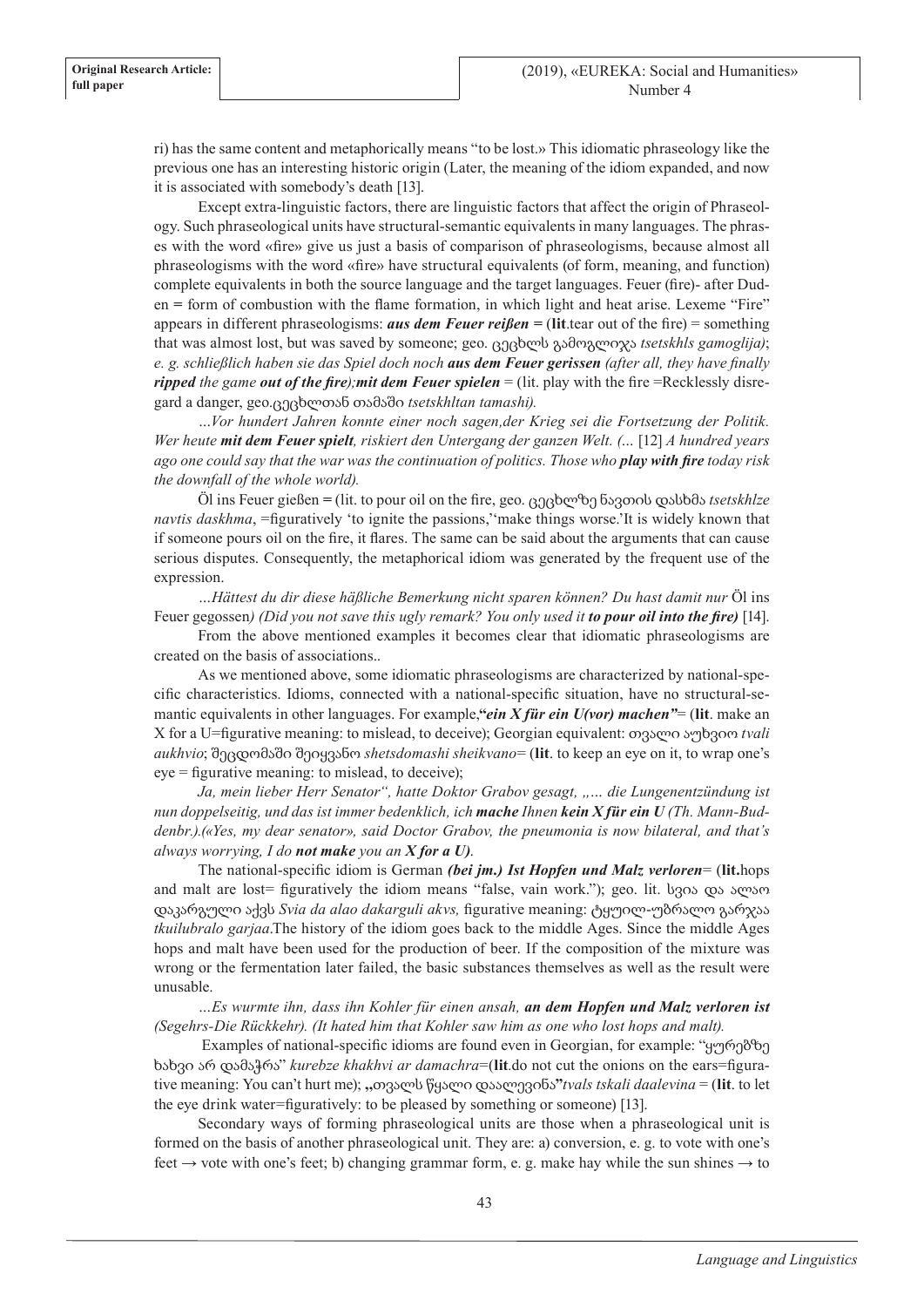ri) has the same content and metaphorically means "to be lost.» This idiomatic phraseology like the previous one has an interesting historic origin (Later, the meaning of the idiom expanded, and now it is associated with somebody's death [13].

Except extra-linguistic factors, there are linguistic factors that affect the origin of Phraseology. Such phraseological units have structural-semantic equivalents in many languages. The phrases with the word «fire» give us just a basis of comparison of phraseologisms, because almost all phraseologisms with the word «fire» have structural equivalents (of form, meaning, and function) complete equivalents in both the source language and the target languages. Feuer (fire)- after Duden **=** form of combustion with the flame formation, in which light and heat arise. Lexeme "Fire" appears in different phraseologisms: *aus dem Feuer reißen =* (**lit**.tear out of the fire) = something that was almost lost, but was saved by someone; geo. ცეცხლს გამოგლიჯა *tsetskhls gamoglija)*; *e. g. schließlich haben sie das Spiel doch noch aus dem Feuer gerissen (after all, they have finally ripped the game out of the fire);mit dem Feuer spielen* = (lit. play with the fire =Recklessly disregard a danger, geo.ცეცხლთან თამაში *tsetskhltan tamashi).*

*…Vor hundert Jahren konnte einer noch sagen,der Krieg sei die Fortsetzung der Politik. Wer heute mit dem Feuer spielt, riskiert den Untergang der ganzen Welt. (…* [12] *A hundred years ago one could say that the war was the continuation of politics. Those who play with fire today risk the downfall of the whole world).*

Öl ins Feuer gießen *=* (lit. to pour oil on the fire, geo. ცეცხლზე ნავთის დასხმა *tsetskhlze navtis daskhma*, =figuratively 'to ignite the passions,''make things worse.'It is widely known that if someone pours oil on the fire, it flares. The same can be said about the arguments that can cause serious disputes. Consequently, the metaphorical idiom was generated by the frequent use of the expression.

*…Hättest du dir diese häßliche Bemerkung nicht sparen können? Du hast damit nur* Öl ins Feuer gegossen*) (Did you not save this ugly remark? You only used it to pour oil into the fire)* [14].

From the above mentioned examples it becomes clear that idiomatic phraseologisms are created on the basis of associations..

As we mentioned above, some idiomatic phraseologisms are characterized by national-specific characteristics. Idioms, connected with a national-specific situation, have no structural-semantic equivalents in other languages. For example,**"***ein X für ein U(vor) machen"*= (**lit**. make an X for a U=figurative meaning: to mislead, to deceive); Georgian equivalent: თვალი აუხვიო *tvali aukhvio*; შეცდომაში შეიყვანო *shetsdomashi sheikvano*= (**lit**. to keep an eye on it, to wrap one's eye = figurative meaning: to mislead, to deceive);

*Ja, mein lieber Herr Senator", hatte Doktor Grabov gesagt, "… die Lungenentzündung ist nun doppelseitig, und das ist immer bedenklich, ich mache Ihnen kein X für ein U (Th. Mann-Buddenbr.).(«Yes, my dear senator», said Doctor Grabov, the pneumonia is now bilateral, and that's always worrying, I do not make you an X for a U)*.

The national-specific idiom is German *(bei jm.) Ist Hopfen und Malz verloren*= (**lit.**hops and malt are lost= figuratively the idiom means "false, vain work."); geo. lit. სვია და ალაო დაკარგული აქვს *Svia da alao dakarguli akvs,* figurative meaning: ტყუილ-უბრალო გარჯაა *tkuilubralo garjaa*.The history of the idiom goes back to the middle Ages. Since the middle Ages hops and malt have been used for the production of beer. If the composition of the mixture was wrong or the fermentation later failed, the basic substances themselves as well as the result were unusable.

*…Es wurmte ihn, dass ihn Kohler für einen ansah, an dem Hopfen und Malz verloren ist (Segehrs-Die Rückkehr). (It hated him that Kohler saw him as one who lost hops and malt).*

 Examples of national-specific idioms are found even in Georgian, for example: "ყურებზე ხახვი არ დამაჭრა" *kurebze khakhvi ar damachra*=(**lit***.*do not cut the onions on the ears=figurative meaning: You can't hurt me); **,,**თვალს წყალი დაალევინა**"***tvals tskali daalevina* = (**lit**. to let the eye drink water=figuratively: to be pleased by something or someone) [13].

Secondary ways of forming phraseological units are those when a phraseological unit is formed on the basis of another phraseological unit. They are: a) conversion, e. g. to vote with one's feet  $\rightarrow$  vote with one's feet; b) changing grammar form, e. g. make hay while the sun shines  $\rightarrow$  to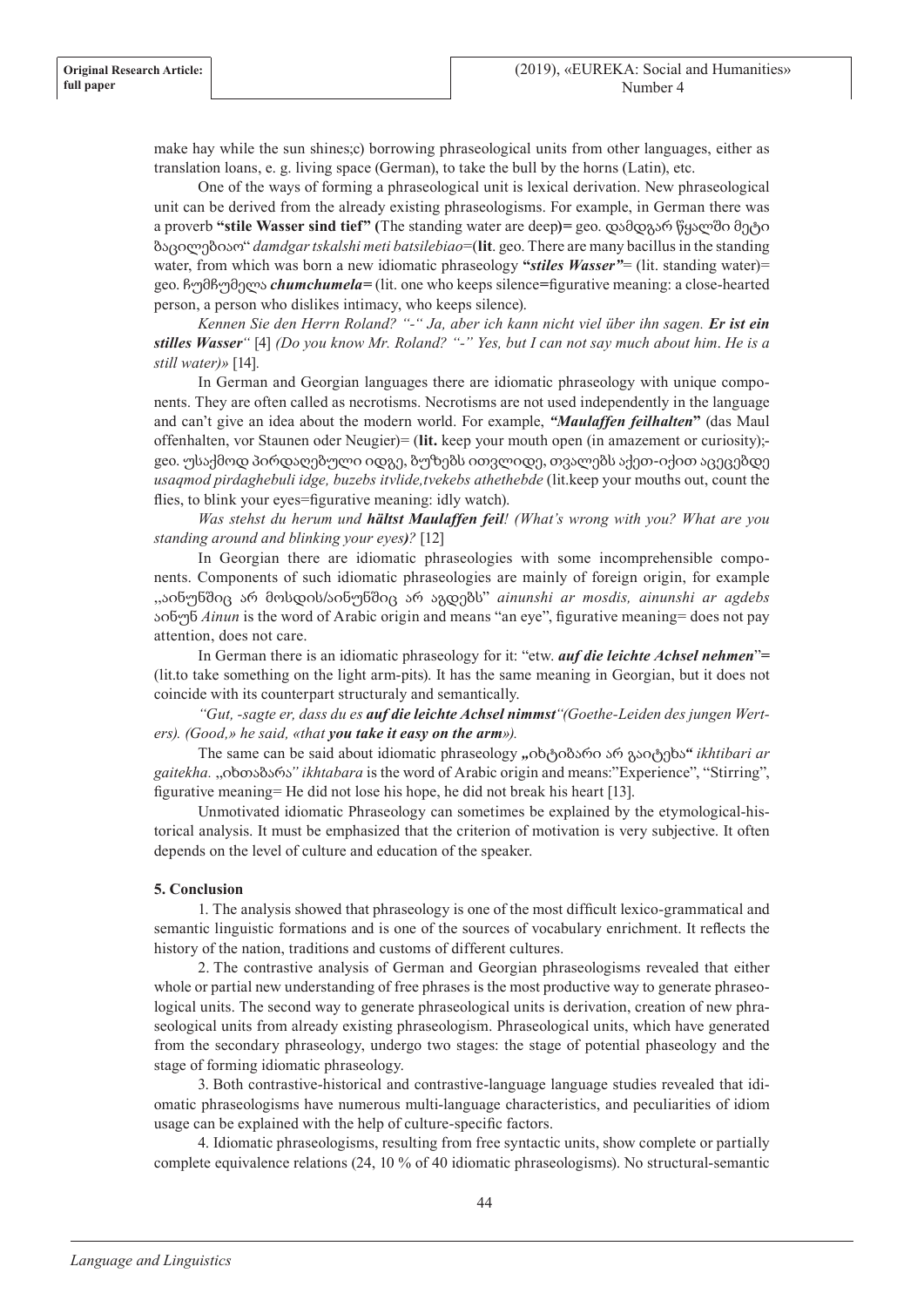make hay while the sun shines;c) borrowing phraseological units from other languages, either as translation loans, e. g. living space (German), to take the bull by the horns (Latin), etc.

One of the ways of forming a phraseological unit is lexical derivation. New phraseological unit can be derived from the already existing phraseologisms. For example, in German there was a proverb **"stile Wasser sind tief" (**The standing water are deep**)***=* geo. დამდგარ წყალში მეტი ბაცილებიაო" *damdgar tskalshi meti batsilebiao*=(**lit**. geo. There are many bacillus in the standing water, from which was born a new idiomatic phraseology "*stiles Wasser*" = (lit. standing water) geo. ჩუმჩუმელა *chumchumela=* (lit. one who keeps silence*=*figurative meaning: a close-hearted person, a person who dislikes intimacy, who keeps silence).

*Kennen Sie den Herrn Roland? "-" Ja, aber ich kann nicht viel über ihn sagen. Er ist ein stilles Wasser"* [4] *(Do you know Mr. Roland? "-" Yes, but I can not say much about him*. *He is a still water)»* [14]*.*

In German and Georgian languages there are idiomatic phraseology with unique components. They are often called as necrotisms. Necrotisms are not used independently in the language and can't give an idea about the modern world. For example, *"Maulaffen feilhalten***"** (das Maul offenhalten, vor Staunen oder Neugier)= (**lit.** keep your mouth open (in amazement or curiosity); geo. უსაქმოდ პირდაღებული იდგე, ბუზებს ითვლიდე, თვალებს აქეთ-იქით აცეცებდე *usaqmod pirdaghebuli idge, buzebs itvlide,tvekebs athethebde* (lit.keep your mouths out, count the flies, to blink your eyes=figurative meaning: idly watch).

*Was stehst du herum und hältst Maulaffen feil! (What's wrong with you? What are you standing around and blinking your eyes)?* [12]

In Georgian there are idiomatic phraseologies with some incomprehensible components. Components of such idiomatic phraseologies are mainly of foreign origin, for example ,,აინუნშიც არ მოსდის**/**აინუნშიც არ აგდებს" *ainunshi ar mosdis, ainunshi ar agdebs*  აინუნ *Ainun* is the word of Arabic origin and means "an eye", figurative meaning= does not pay attention, does not care.

In German there is an idiomatic phraseology for it: "etw. *auf die leichte Achsel nehmen*"*=*  (lit.to take something on the light arm-pits). It has the same meaning in Georgian, but it does not coincide with its counterpart structuraly and semantically.

*"Gut, -sagte er, dass du es auf die leichte Achsel nimmst"(Goethe-Leiden des jungen Werters). (Good,» he said, «that you take it easy on the arm»).*

The same can be said about idiomatic phraseology "იხტიბარი არ გაიტეხა" *ikhtibari ar gaitekha.* ,,იხთაბარა*" ikhtabara* is the word of Arabic origin and means:"Experience", "Stirring", figurative meaning= He did not lose his hope, he did not break his heart [13].

Unmotivated idiomatic Phraseology can sometimes be explained by the etymological-historical analysis. It must be emphasized that the criterion of motivation is very subjective. It often depends on the level of culture and education of the speaker.

# **5. Conclusion**

1. The analysis showed that phraseology is one of the most difficult lexico-grammatical and semantic linguistic formations and is one of the sources of vocabulary enrichment. It reflects the history of the nation, traditions and customs of different cultures.

2. The contrastive analysis of German and Georgian phraseologisms revealed that either whole or partial new understanding of free phrases is the most productive way to generate phraseological units. The second way to generate phraseological units is derivation, creation of new phraseological units from already existing phraseologism. Phraseological units, which have generated from the secondary phraseology, undergo two stages: the stage of potential phaseology and the stage of forming idiomatic phraseology.

3. Both contrastive-historical and contrastive-language language studies revealed that idiomatic phraseologisms have numerous multi-language characteristics, and peculiarities of idiom usage can be explained with the help of culture-specific factors.

4. Idiomatic phraseologisms, resulting from free syntactic units, show complete or partially complete equivalence relations (24, 10 % of 40 idiomatic phraseologisms). No structural-semantic